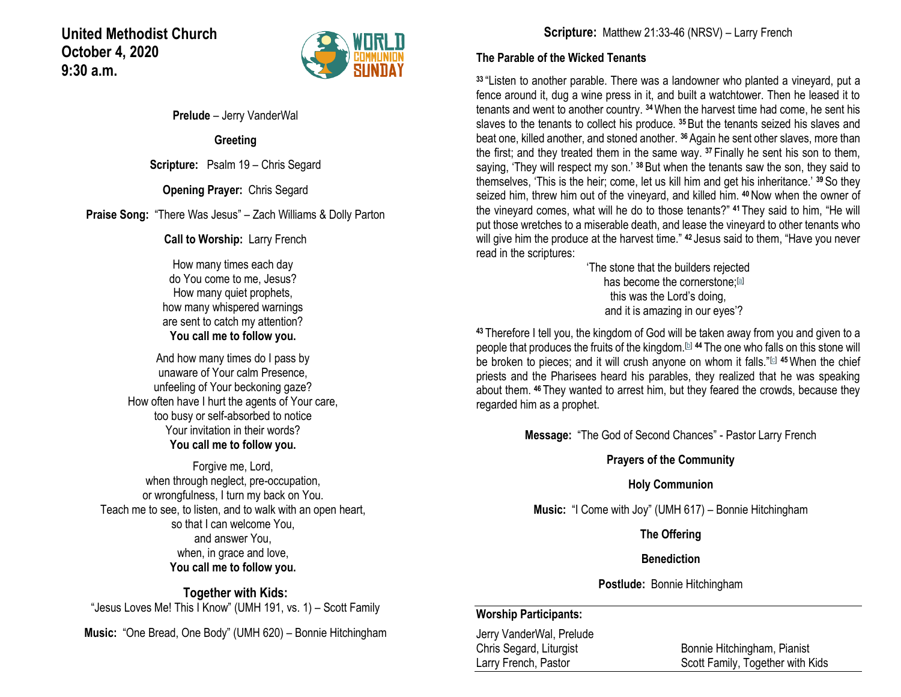## **United Methodist Church October 4, 2020 9:30 a.m.**



**Prelude** – Jerry VanderWal

**Greeting**

**Scripture:** Psalm 19 – Chris Segard

**Opening Prayer:** Chris Segard

**Praise Song:** "There Was Jesus" – Zach Williams & Dolly Parton

**Call to Worship:** Larry French

How many times each day do You come to me, Jesus? How many quiet prophets, how many whispered warnings are sent to catch my attention? **You call me to follow you.**

And how many times do I pass by unaware of Your calm Presence, unfeeling of Your beckoning gaze? How often have I hurt the agents of Your care, too busy or self-absorbed to notice Your invitation in their words? **You call me to follow you.**

Forgive me, Lord, when through neglect, pre-occupation, or wrongfulness, I turn my back on You. Teach me to see, to listen, and to walk with an open heart, so that I can welcome You, and answer You, when, in grace and love, **You call me to follow you.**

**Together with Kids:** "Jesus Loves Me! This I Know" (UMH 191, vs. 1) – Scott Family

**Music:** "One Bread, One Body" (UMH 620) – Bonnie Hitchingham

**Scripture:** Matthew 21:33-46 (NRSV) – Larry French

### **The Parable of the Wicked Tenants**

**<sup>33</sup>** "Listen to another parable. There was a landowner who planted a vineyard, put a fence around it, dug a wine press in it, and built a watchtower. Then he leased it to tenants and went to another country. **<sup>34</sup>**When the harvest time had come, he sent his slaves to the tenants to collect his produce. **<sup>35</sup>** But the tenants seized his slaves and beat one, killed another, and stoned another. **<sup>36</sup>** Again he sent other slaves, more than the first; and they treated them in the same way. **<sup>37</sup>** Finally he sent his son to them, saying, 'They will respect my son.' **<sup>38</sup>**But when the tenants saw the son, they said to themselves, 'This is the heir; come, let us kill him and get his inheritance.' **<sup>39</sup>**So they seized him, threw him out of the vineyard, and killed him. **<sup>40</sup>**Now when the owner of the vineyard comes, what will he do to those tenants?" **<sup>41</sup>** They said to him, "He will put those wretches to a miserable death, and lease the vineyard to other tenants who will give him the produce at the harvest time." **<sup>42</sup>** Jesus said to them, "Have you never read in the scriptures:

'The stone that the builders rejected has become the cornerstone;<sup>[\[a\]](https://www.biblegateway.com/passage/?search=Matthew+21%3A33-46&version=NRSV#fen-NRSV-23867a)</sup> this was the Lord's doing, and it is amazing in our eyes'?

**<sup>43</sup>** Therefore I tell you, the kingdom of God will be taken away from you and given to a people that produces the fruits of the kingdom.[\[b\]](https://www.biblegateway.com/passage/?search=Matthew+21%3A33-46&version=NRSV#fen-NRSV-23868b) **<sup>44</sup>** The one who falls on this stone will be broken to pieces; and it will crush anyone on whom it falls."<sup>[\[c\]](https://www.biblegateway.com/passage/?search=Matthew+21%3A33-46&version=NRSV#fen-NRSV-23869c)</sup> <sup>45</sup>When the chief priests and the Pharisees heard his parables, they realized that he was speaking about them. **<sup>46</sup>** They wanted to arrest him, but they feared the crowds, because they regarded him as a prophet.

**Message:** "The God of Second Chances" - Pastor Larry French

### **Prayers of the Community**

### **Holy Communion**

**Music:** "I Come with Joy" (UMH 617) – Bonnie Hitchingham

**The Offering**

### **Benediction**

**Postlude:** Bonnie Hitchingham

### **Worship Participants:**

Jerry VanderWal, Prelude Chris Segard, Liturgist Bonnie Hitchingham, Pianist

Larry French, Pastor **Scott Family, Together with Kids**